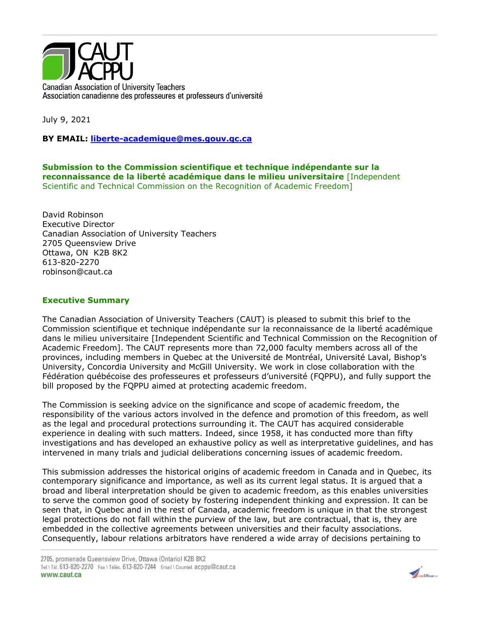

July 9, 2021

**BY EMAIL: [liberte-academique@mes.gouv.qc.ca](mailto:liberte-academique@mes.gouv.qc.ca)**

**Submission to the Commission scientifique et technique indépendante sur la reconnaissance de la liberté académique dans le milieu universitaire** [Independent Scientific and Technical Commission on the Recognition of Academic Freedom]

David Robinson Executive Director Canadian Association of University Teachers 2705 Queensview Drive Ottawa, ON K2B 8K2 613-820-2270 robinson@caut.ca

## **Executive Summary**

The Canadian Association of University Teachers (CAUT) is pleased to submit this brief to the Commission scientifique et technique indépendante sur la reconnaissance de la liberté académique dans le milieu universitaire [Independent Scientific and Technical Commission on the Recognition of Academic Freedom]. The CAUT represents more than 72,000 faculty members across all of the provinces, including members in Quebec at the Université de Montréal, Université Laval, Bishop's University, Concordia University and McGill University. We work in close collaboration with the Fédération québécoise des professeures et professeurs d'université (FQPPU), and fully support the bill proposed by the FQPPU aimed at protecting academic freedom.

The Commission is seeking advice on the significance and scope of academic freedom, the responsibility of the various actors involved in the defence and promotion of this freedom, as well as the legal and procedural protections surrounding it. The CAUT has acquired considerable experience in dealing with such matters. Indeed, since 1958, it has conducted more than fifty investigations and has developed an exhaustive policy as well as interpretative guidelines, and has intervened in many trials and judicial deliberations concerning issues of academic freedom.

This submission addresses the historical origins of academic freedom in Canada and in Quebec, its contemporary significance and importance, as well as its current legal status. It is argued that a broad and liberal interpretation should be given to academic freedom, as this enables universities to serve the common good of society by fostering independent thinking and expression. It can be seen that, in Quebec and in the rest of Canada, academic freedom is unique in that the strongest legal protections do not fall within the purview of the law, but are contractual, that is, they are embedded in the collective agreements between universities and their faculty associations. Consequently, labour relations arbitrators have rendered a wide array of decisions pertaining to

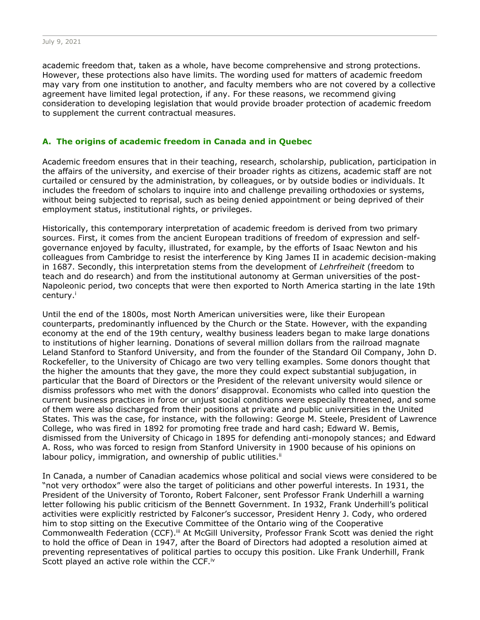academic freedom that, taken as a whole, have become comprehensive and strong protections. However, these protections also have limits. The wording used for matters of academic freedom may vary from one institution to another, and faculty members who are not covered by a collective agreement have limited legal protection, if any. For these reasons, we recommend giving consideration to developing legislation that would provide broader protection of academic freedom to supplement the current contractual measures.

### **A. The origins of academic freedom in Canada and in Quebec**

Academic freedom ensures that in their teaching, research, scholarship, publication, participation in the affairs of the university, and exercise of their broader rights as citizens, academic staff are not curtailed or censured by the administration, by colleagues, or by outside bodies or individuals. It includes the freedom of scholars to inquire into and challenge prevailing orthodoxies or systems, without being subjected to reprisal, such as being denied appointment or being deprived of their employment status, institutional rights, or privileges.

Historically, this contemporary interpretation of academic freedom is derived from two primary sources. First, it comes from the ancient European traditions of freedom of expression and selfgovernance enjoyed by faculty, illustrated, for example, by the efforts of Isaac Newton and his colleagues from Cambridge to resist the interference by King James II in academic decision-making in 1687. Secondly, this interpretation stems from the development of *Lehrfreiheit* (freedom to teach and do research) and from the institutional autonomy at German universities of the post-Napoleonic period, two concepts that were then exported to North America starting in the late 19th century.<sup>i</sup>

Until the end of the 1800s, most North American universities were, like their European counterparts, predominantly influenced by the Church or the State. However, with the expanding economy at the end of the 19th century, wealthy business leaders began to make large donations to institutions of higher learning. Donations of several million dollars from the railroad magnate Leland Stanford to Stanford University, and from the founder of the Standard Oil Company, John D. Rockefeller, to the University of Chicago are two very telling examples. Some donors thought that the higher the amounts that they gave, the more they could expect substantial subjugation, in particular that the Board of Directors or the President of the relevant university would silence or dismiss professors who met with the donors' disapproval. Economists who called into question the current business practices in force or unjust social conditions were especially threatened, and some of them were also discharged from their positions at private and public universities in the United States. This was the case, for instance, with the following: George M. Steele, President of Lawrence College, who was fired in 1892 for promoting free trade and hard cash; Edward W. Bemis, dismissed from the University of Chicago in 1895 for defending anti-monopoly stances; and Edward A. Ross, who was forced to resign from Stanford University in 1900 because of his opinions on labour policy, immigration, and ownership of public utilities.<sup>ii</sup>

In Canada, a number of Canadian academics whose political and social views were considered to be "not very orthodox" were also the target of politicians and other powerful interests. In 1931, the President of the University of Toronto, Robert Falconer, sent Professor Frank Underhill a warning letter following his public criticism of the Bennett Government. In 1932, Frank Underhill's political activities were explicitly restricted by Falconer's successor, President Henry J. Cody, who ordered him to stop sitting on the Executive Committee of the Ontario wing of the Cooperative Commonwealth Federation (CCF).<sup>iii</sup> At McGill University, Professor Frank Scott was denied the right to hold the office of Dean in 1947, after the Board of Directors had adopted a resolution aimed at preventing representatives of political parties to occupy this position. Like Frank Underhill, Frank Scott played an active role within the CCF.<sup>iv</sup>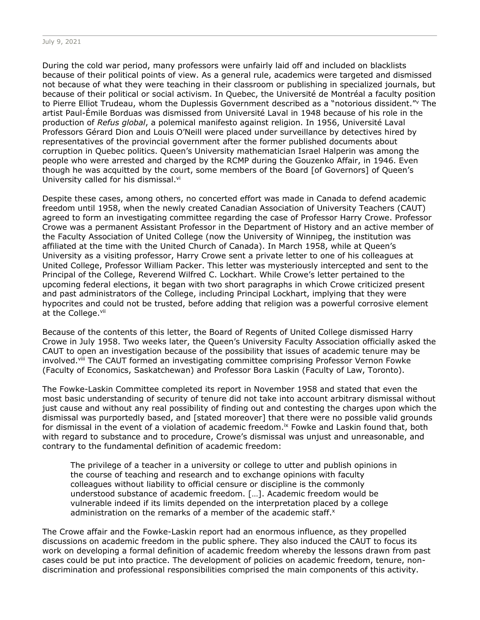During the cold war period, many professors were unfairly laid off and included on blacklists because of their political points of view. As a general rule, academics were targeted and dismissed not because of what they were teaching in their classroom or publishing in specialized journals, but because of their political or social activism. In Quebec, the Université de Montréal a faculty position to Pierre Elliot Trudeau, whom the Duplessis Government described as a "notorious dissident." The artist Paul-Émile Borduas was dismissed from Université Laval in 1948 because of his role in the production of *Refus global*, a polemical manifesto against religion. In 1956, Université Laval Professors Gérard Dion and Louis O'Neill were placed under surveillance by detectives hired by representatives of the provincial government after the former published documents about corruption in Quebec politics. Queen's University mathematician Israel Halperin was among the people who were arrested and charged by the RCMP during the Gouzenko Affair, in 1946. Even though he was acquitted by the court, some members of the Board [of Governors] of Queen's University called for his dismissal.vi

Despite these cases, among others, no concerted effort was made in Canada to defend academic freedom until 1958, when the newly created Canadian Association of University Teachers (CAUT) agreed to form an investigating committee regarding the case of Professor Harry Crowe. Professor Crowe was a permanent Assistant Professor in the Department of History and an active member of the Faculty Association of United College (now the University of Winnipeg, the institution was affiliated at the time with the United Church of Canada). In March 1958, while at Queen's University as a visiting professor, Harry Crowe sent a private letter to one of his colleagues at United College, Professor William Packer. This letter was mysteriously intercepted and sent to the Principal of the College, Reverend Wilfred C. Lockhart. While Crowe's letter pertained to the upcoming federal elections, it began with two short paragraphs in which Crowe criticized present and past administrators of the College, including Principal Lockhart, implying that they were hypocrites and could not be trusted, before adding that religion was a powerful corrosive element at the College.<sup>vii</sup>

Because of the contents of this letter, the Board of Regents of United College dismissed Harry Crowe in July 1958. Two weeks later, the Queen's University Faculty Association officially asked the CAUT to open an investigation because of the possibility that issues of academic tenure may be involved.<sup>viii</sup> The CAUT formed an investigating committee comprising Professor Vernon Fowke (Faculty of Economics, Saskatchewan) and Professor Bora Laskin (Faculty of Law, Toronto).

The Fowke-Laskin Committee completed its report in November 1958 and stated that even the most basic understanding of security of tenure did not take into account arbitrary dismissal without just cause and without any real possibility of finding out and contesting the charges upon which the dismissal was purportedly based, and [stated moreover] that there were no possible valid grounds for dismissal in the event of a violation of academic freedom.<sup>ix</sup> Fowke and Laskin found that, both with regard to substance and to procedure, Crowe's dismissal was unjust and unreasonable, and contrary to the fundamental definition of academic freedom:

The privilege of a teacher in a university or college to utter and publish opinions in the course of teaching and research and to exchange opinions with faculty colleagues without liability to official censure or discipline is the commonly understood substance of academic freedom. […]. Academic freedom would be vulnerable indeed if its limits depended on the interpretation placed by a college administration on the remarks of a member of the academic staff. $x$ 

The Crowe affair and the Fowke-Laskin report had an enormous influence, as they propelled discussions on academic freedom in the public sphere. They also induced the CAUT to focus its work on developing a formal definition of academic freedom whereby the lessons drawn from past cases could be put into practice. The development of policies on academic freedom, tenure, nondiscrimination and professional responsibilities comprised the main components of this activity.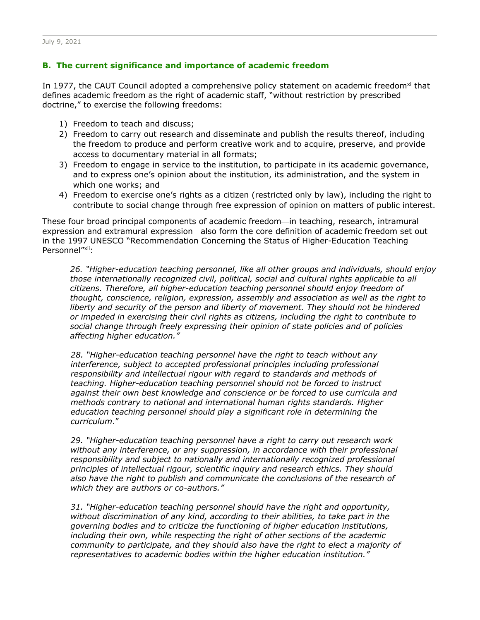### **B. The current significance and importance of academic freedom**

In 1977, the CAUT Council adopted a comprehensive policy statement on academic freedom<sup>xi</sup> that defines academic freedom as the right of academic staff, "without restriction by prescribed doctrine," to exercise the following freedoms:

- 1) Freedom to teach and discuss;
- 2) Freedom to carry out research and disseminate and publish the results thereof, including the freedom to produce and perform creative work and to acquire, preserve, and provide access to documentary material in all formats;
- 3) Freedom to engage in service to the institution, to participate in its academic governance, and to express one's opinion about the institution, its administration, and the system in which one works; and
- 4) Freedom to exercise one's rights as a citizen (restricted only by law), including the right to contribute to social change through free expression of opinion on matters of public interest.

These four broad principal components of academic freedom—in teaching, research, intramural expression and extramural expression—also form the core definition of academic freedom set out in the 1997 UNESCO "Recommendation Concerning the Status of Higher-Education Teaching Personnel"xii:

*26. "Higher-education teaching personnel, like all other groups and individuals, should enjoy those internationally recognized civil, political, social and cultural rights applicable to all citizens. Therefore, all higher-education teaching personnel should enjoy freedom of thought, conscience, religion, expression, assembly and association as well as the right to liberty and security of the person and liberty of movement. They should not be hindered or impeded in exercising their civil rights as citizens, including the right to contribute to social change through freely expressing their opinion of state policies and of policies affecting higher education."*

*28. "Higher-education teaching personnel have the right to teach without any*  interference, subject to accepted professional principles including professional *responsibility and intellectual rigour with regard to standards and methods of teaching. Higher-education teaching personnel should not be forced to instruct against their own best knowledge and conscience or be forced to use curricula and methods contrary to national and international human rights standards. Higher education teaching personnel should play a significant role in determining the curriculum*."

*29. "Higher-education teaching personnel have a right to carry out research work without any interference, or any suppression, in accordance with their professional responsibility and subject to nationally and internationally recognized professional principles of intellectual rigour, scientific inquiry and research ethics. They should*  also have the right to publish and communicate the conclusions of the research of *which they are authors or co-authors."*

*31. "Higher-education teaching personnel should have the right and opportunity, without discrimination of any kind, according to their abilities, to take part in the governing bodies and to criticize the functioning of higher education institutions, including their own, while respecting the right of other sections of the academic community to participate, and they should also have the right to elect a majority of representatives to academic bodies within the higher education institution."*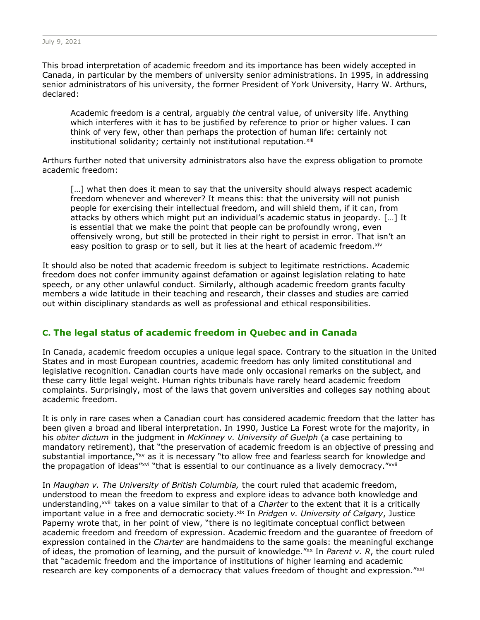This broad interpretation of academic freedom and its importance has been widely accepted in Canada, in particular by the members of university senior administrations. In 1995, in addressing senior administrators of his university, the former President of York University, Harry W. Arthurs, declared:

Academic freedom is *a* central, arguably *the* central value, of university life. Anything which interferes with it has to be justified by reference to prior or higher values. I can think of very few, other than perhaps the protection of human life: certainly not institutional solidarity; certainly not institutional reputation.xiii

Arthurs further noted that university administrators also have the express obligation to promote academic freedom:

[...] what then does it mean to say that the university should always respect academic freedom whenever and wherever? It means this: that the university will not punish people for exercising their intellectual freedom, and will shield them, if it can, from attacks by others which might put an individual's academic status in jeopardy. […] It is essential that we make the point that people can be profoundly wrong, even offensively wrong, but still be protected in their right to persist in error. That isn't an easy position to grasp or to sell, but it lies at the heart of academic freedom. Xiv

It should also be noted that academic freedom is subject to legitimate restrictions. Academic freedom does not confer immunity against defamation or against legislation relating to hate speech, or any other unlawful conduct. Similarly, although academic freedom grants faculty members a wide latitude in their teaching and research, their classes and studies are carried out within disciplinary standards as well as professional and ethical responsibilities.

# **C. The legal status of academic freedom in Quebec and in Canada**

In Canada, academic freedom occupies a unique legal space. Contrary to the situation in the United States and in most European countries, academic freedom has only limited constitutional and legislative recognition. Canadian courts have made only occasional remarks on the subject, and these carry little legal weight. Human rights tribunals have rarely heard academic freedom complaints. Surprisingly, most of the laws that govern universities and colleges say nothing about academic freedom.

It is only in rare cases when a Canadian court has considered academic freedom that the latter has been given a broad and liberal interpretation. In 1990, Justice La Forest wrote for the majority, in his *obiter dictum* in the judgment in *McKinney v. University of Guelph* (a case pertaining to mandatory retirement), that "the preservation of academic freedom is an objective of pressing and substantial importance,"xv as it is necessary "to allow free and fearless search for knowledge and the propagation of ideas"xvi "that is essential to our continuance as a lively democracy."xvii

In *Maughan v. The University of British Columbia,* the court ruled that academic freedom, understood to mean the freedom to express and explore ideas to advance both knowledge and understanding,xviii takes on a value similar to that of a *Charter* to the extent that it is a critically important value in a free and democratic society.<sup>xix</sup> In *Pridgen v. University of Calgary*, Justice Paperny wrote that, in her point of view, "there is no legitimate conceptual conflict between academic freedom and freedom of expression. Academic freedom and the guarantee of freedom of expression contained in the *Charter* are handmaidens to the same goals: the meaningful exchange of ideas, the promotion of learning, and the pursuit of knowledge."xx In *Parent v. R*, the court ruled that "academic freedom and the importance of institutions of higher learning and academic research are key components of a democracy that values freedom of thought and expression."xxi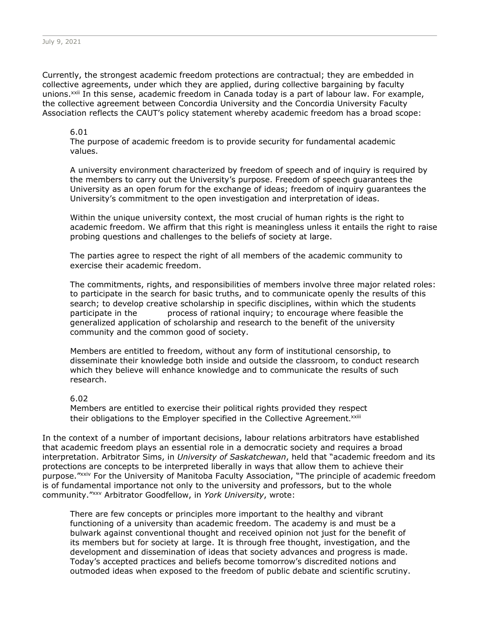Currently, the strongest academic freedom protections are contractual; they are embedded in collective agreements, under which they are applied, during collective bargaining by faculty unions.<sup>xxii</sup> In this sense, academic freedom in Canada today is a part of labour law. For example, the collective agreement between Concordia University and the Concordia University Faculty Association reflects the CAUT's policy statement whereby academic freedom has a broad scope:

#### 6.01

The purpose of academic freedom is to provide security for fundamental academic values.

A university environment characterized by freedom of speech and of inquiry is required by the members to carry out the University's purpose. Freedom of speech guarantees the University as an open forum for the exchange of ideas; freedom of inquiry guarantees the University's commitment to the open investigation and interpretation of ideas.

Within the unique university context, the most crucial of human rights is the right to academic freedom. We affirm that this right is meaningless unless it entails the right to raise probing questions and challenges to the beliefs of society at large.

The parties agree to respect the right of all members of the academic community to exercise their academic freedom.

The commitments, rights, and responsibilities of members involve three major related roles: to participate in the search for basic truths, and to communicate openly the results of this search; to develop creative scholarship in specific disciplines, within which the students participate in the process of rational inquiry; to encourage where feasible the generalized application of scholarship and research to the benefit of the university community and the common good of society.

Members are entitled to freedom, without any form of institutional censorship, to disseminate their knowledge both inside and outside the classroom, to conduct research which they believe will enhance knowledge and to communicate the results of such research.

#### 6.02

Members are entitled to exercise their political rights provided they respect their obligations to the Employer specified in the Collective Agreement.<sup>xxiii</sup>

In the context of a number of important decisions, labour relations arbitrators have established that academic freedom plays an essential role in a democratic society and requires a broad interpretation. Arbitrator Sims, in *University of Saskatchewan*, held that "academic freedom and its protections are concepts to be interpreted liberally in ways that allow them to achieve their purpose."xxiv For the University of Manitoba Faculty Association, "The principle of academic freedom is of fundamental importance not only to the university and professors, but to the whole community."xxv Arbitrator Goodfellow, in *York University*, wrote:

There are few concepts or principles more important to the healthy and vibrant functioning of a university than academic freedom. The academy is and must be a bulwark against conventional thought and received opinion not just for the benefit of its members but for society at large. It is through free thought, investigation, and the development and dissemination of ideas that society advances and progress is made. Today's accepted practices and beliefs become tomorrow's discredited notions and outmoded ideas when exposed to the freedom of public debate and scientific scrutiny.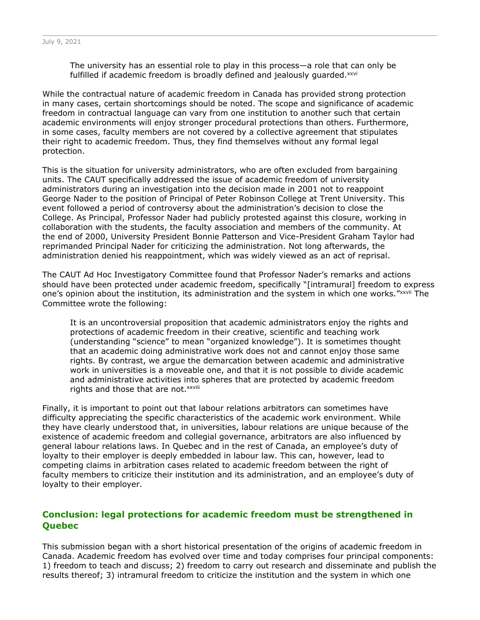The university has an essential role to play in this process—a role that can only be fulfilled if academic freedom is broadly defined and jealously quarded.<sup>xxvi</sup>

While the contractual nature of academic freedom in Canada has provided strong protection in many cases, certain shortcomings should be noted. The scope and significance of academic freedom in contractual language can vary from one institution to another such that certain academic environments will enjoy stronger procedural protections than others. Furthermore, in some cases, faculty members are not covered by a collective agreement that stipulates their right to academic freedom. Thus, they find themselves without any formal legal protection.

This is the situation for university administrators, who are often excluded from bargaining units. The CAUT specifically addressed the issue of academic freedom of university administrators during an investigation into the decision made in 2001 not to reappoint George Nader to the position of Principal of Peter Robinson College at Trent University. This event followed a period of controversy about the administration's decision to close the College. As Principal, Professor Nader had publicly protested against this closure, working in collaboration with the students, the faculty association and members of the community. At the end of 2000, University President Bonnie Patterson and Vice-President Graham Taylor had reprimanded Principal Nader for criticizing the administration. Not long afterwards, the administration denied his reappointment, which was widely viewed as an act of reprisal.

The CAUT Ad Hoc Investigatory Committee found that Professor Nader's remarks and actions should have been protected under academic freedom, specifically "[intramural] freedom to express one's opinion about the institution, its administration and the system in which one works."xxvii The Committee wrote the following:

It is an uncontroversial proposition that academic administrators enjoy the rights and protections of academic freedom in their creative, scientific and teaching work (understanding "science" to mean "organized knowledge"). It is sometimes thought that an academic doing administrative work does not and cannot enjoy those same rights. By contrast, we argue the demarcation between academic and administrative work in universities is a moveable one, and that it is not possible to divide academic and administrative activities into spheres that are protected by academic freedom rights and those that are not. xxviii

Finally, it is important to point out that labour relations arbitrators can sometimes have difficulty appreciating the specific characteristics of the academic work environment. While they have clearly understood that, in universities, labour relations are unique because of the existence of academic freedom and collegial governance, arbitrators are also influenced by general labour relations laws. In Quebec and in the rest of Canada, an employee's duty of loyalty to their employer is deeply embedded in labour law. This can, however, lead to competing claims in arbitration cases related to academic freedom between the right of faculty members to criticize their institution and its administration, and an employee's duty of loyalty to their employer.

# **Conclusion: legal protections for academic freedom must be strengthened in Quebec**

This submission began with a short historical presentation of the origins of academic freedom in Canada. Academic freedom has evolved over time and today comprises four principal components: 1) freedom to teach and discuss; 2) freedom to carry out research and disseminate and publish the results thereof; 3) intramural freedom to criticize the institution and the system in which one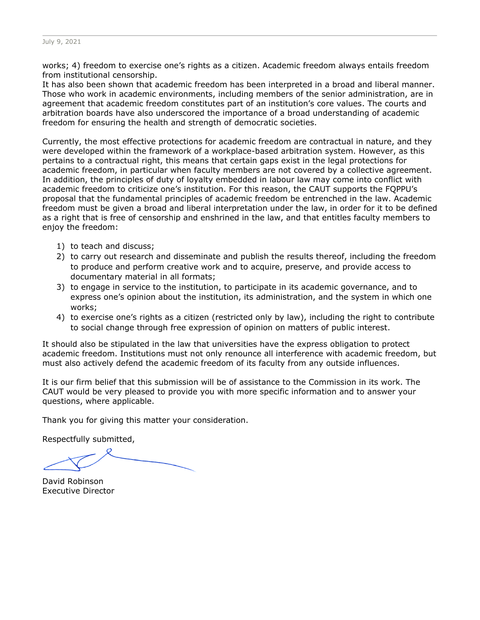works; 4) freedom to exercise one's rights as a citizen. Academic freedom always entails freedom from institutional censorship.

It has also been shown that academic freedom has been interpreted in a broad and liberal manner. Those who work in academic environments, including members of the senior administration, are in agreement that academic freedom constitutes part of an institution's core values. The courts and arbitration boards have also underscored the importance of a broad understanding of academic freedom for ensuring the health and strength of democratic societies.

Currently, the most effective protections for academic freedom are contractual in nature, and they were developed within the framework of a workplace-based arbitration system. However, as this pertains to a contractual right, this means that certain gaps exist in the legal protections for academic freedom, in particular when faculty members are not covered by a collective agreement. In addition, the principles of duty of loyalty embedded in labour law may come into conflict with academic freedom to criticize one's institution. For this reason, the CAUT supports the FQPPU's proposal that the fundamental principles of academic freedom be entrenched in the law. Academic freedom must be given a broad and liberal interpretation under the law, in order for it to be defined as a right that is free of censorship and enshrined in the law, and that entitles faculty members to enjoy the freedom:

- 1) to teach and discuss;
- 2) to carry out research and disseminate and publish the results thereof, including the freedom to produce and perform creative work and to acquire, preserve, and provide access to documentary material in all formats;
- 3) to engage in service to the institution, to participate in its academic governance, and to express one's opinion about the institution, its administration, and the system in which one works;
- 4) to exercise one's rights as a citizen (restricted only by law), including the right to contribute to social change through free expression of opinion on matters of public interest.

It should also be stipulated in the law that universities have the express obligation to protect academic freedom. Institutions must not only renounce all interference with academic freedom, but must also actively defend the academic freedom of its faculty from any outside influences.

It is our firm belief that this submission will be of assistance to the Commission in its work. The CAUT would be very pleased to provide you with more specific information and to answer your questions, where applicable.

Thank you for giving this matter your consideration.

Respectfully submitted,

David Robinson Executive Director